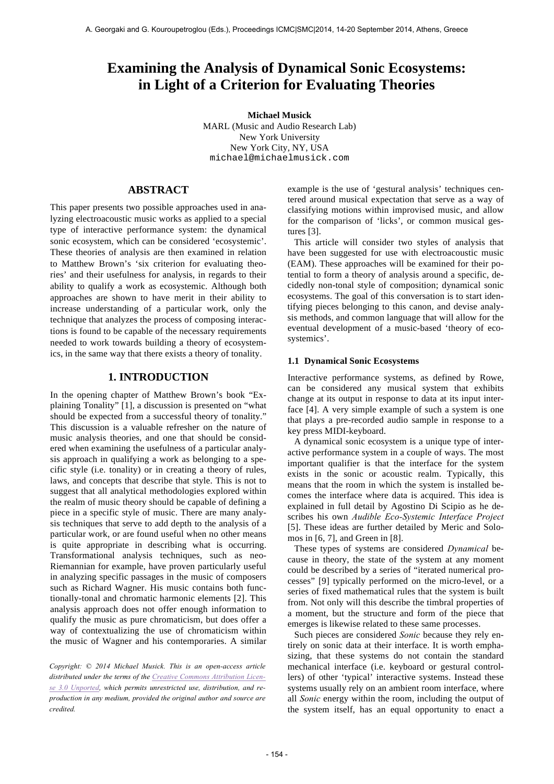# **Examining the Analysis of Dynamical Sonic Ecosystems: in Light of a Criterion for Evaluating Theories**

**Michael Musick** MARL (Music and Audio Research Lab) New York University New York City, NY, USA michael@michaelmusick.com

# **ABSTRACT**

This paper presents two possible approaches used in analyzing electroacoustic music works as applied to a special type of interactive performance system: the dynamical sonic ecosystem, which can be considered 'ecosystemic'. These theories of analysis are then examined in relation to Matthew Brown's 'six criterion for evaluating theories' and their usefulness for analysis, in regards to their ability to qualify a work as ecosystemic. Although both approaches are shown to have merit in their ability to increase understanding of a particular work, only the technique that analyzes the process of composing interactions is found to be capable of the necessary requirements needed to work towards building a theory of ecosystemics, in the same way that there exists a theory of tonality.

## **1. INTRODUCTION**

In the opening chapter of Matthew Brown's book "Explaining Tonality" [1], a discussion is presented on "what should be expected from a successful theory of tonality." This discussion is a valuable refresher on the nature of music analysis theories, and one that should be considered when examining the usefulness of a particular analysis approach in qualifying a work as belonging to a specific style (i.e. tonality) or in creating a theory of rules, laws, and concepts that describe that style. This is not to suggest that all analytical methodologies explored within the realm of music theory should be capable of defining a piece in a specific style of music. There are many analysis techniques that serve to add depth to the analysis of a particular work, or are found useful when no other means is quite appropriate in describing what is occurring. Transformational analysis techniques, such as neo-Riemannian for example, have proven particularly useful in analyzing specific passages in the music of composers such as Richard Wagner. His music contains both functionally-tonal and chromatic harmonic elements [2]. This analysis approach does not offer enough information to qualify the music as pure chromaticism, but does offer a way of contextualizing the use of chromaticism within the music of Wagner and his contemporaries. A similar

*Copyright: © 2014 Michael Musick. This is an open-access article distributed under the terms of the Creative Commons Attribution License 3.0 Unported, which permits unrestricted use, distribution, and reproduction in any medium, provided the original author and source are credited.*

example is the use of 'gestural analysis' techniques centered around musical expectation that serve as a way of classifying motions within improvised music, and allow for the comparison of 'licks', or common musical gestures [3].

This article will consider two styles of analysis that have been suggested for use with electroacoustic music (EAM). These approaches will be examined for their potential to form a theory of analysis around a specific, decidedly non-tonal style of composition; dynamical sonic ecosystems. The goal of this conversation is to start identifying pieces belonging to this canon, and devise analysis methods, and common language that will allow for the eventual development of a music-based 'theory of ecosystemics'.

### **1.1 Dynamical Sonic Ecosystems**

Interactive performance systems, as defined by Rowe, can be considered any musical system that exhibits change at its output in response to data at its input interface [4]. A very simple example of such a system is one that plays a pre-recorded audio sample in response to a key press MIDI-keyboard.

A dynamical sonic ecosystem is a unique type of interactive performance system in a couple of ways. The most important qualifier is that the interface for the system exists in the sonic or acoustic realm. Typically, this means that the room in which the system is installed becomes the interface where data is acquired. This idea is explained in full detail by Agostino Di Scipio as he describes his own *Audible Eco-Systemic Interface Project* [5]. These ideas are further detailed by Meric and Solomos in [6, 7], and Green in [8].

These types of systems are considered *Dynamical* because in theory, the state of the system at any moment could be described by a series of "iterated numerical processes" [9] typically performed on the micro-level, or a series of fixed mathematical rules that the system is built from. Not only will this describe the timbral properties of a moment, but the structure and form of the piece that emerges is likewise related to these same processes.

Such pieces are considered *Sonic* because they rely entirely on sonic data at their interface. It is worth emphasizing, that these systems do not contain the standard mechanical interface (i.e. keyboard or gestural controllers) of other 'typical' interactive systems. Instead these systems usually rely on an ambient room interface, where all *Sonic* energy within the room, including the output of the system itself, has an equal opportunity to enact a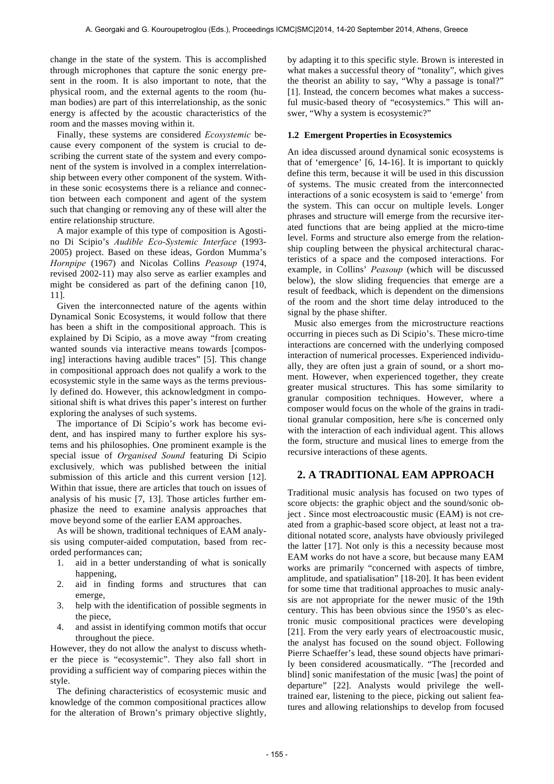change in the state of the system. This is accomplished through microphones that capture the sonic energy present in the room. It is also important to note, that the physical room, and the external agents to the room (human bodies) are part of this interrelationship, as the sonic energy is affected by the acoustic characteristics of the room and the masses moving within it.

Finally, these systems are considered *Ecosystemic* because every component of the system is crucial to describing the current state of the system and every component of the system is involved in a complex interrelationship between every other component of the system. Within these sonic ecosystems there is a reliance and connection between each component and agent of the system such that changing or removing any of these will alter the entire relationship structure.

A major example of this type of composition is Agostino Di Scipio's *Audible Eco-Systemic Interface* (1993- 2005) project. Based on these ideas, Gordon Mumma's *Hornpipe* (1967) and Nicolas Collins *Peasoup* (1974, revised 2002-11) may also serve as earlier examples and might be considered as part of the defining canon [10, 11].

Given the interconnected nature of the agents within Dynamical Sonic Ecosystems, it would follow that there has been a shift in the compositional approach. This is explained by Di Scipio, as a move away "from creating wanted sounds via interactive means towards [composing] interactions having audible traces" [5]. This change in compositional approach does not qualify a work to the ecosystemic style in the same ways as the terms previously defined do. However, this acknowledgment in compositional shift is what drives this paper's interest on further exploring the analyses of such systems.

The importance of Di Scipio's work has become evident, and has inspired many to further explore his systems and his philosophies. One prominent example is the special issue of *Organised Sound* featuring Di Scipio exclusively*,* which was published between the initial submission of this article and this current version [12]. Within that issue, there are articles that touch on issues of analysis of his music [7, 13]. Those articles further emphasize the need to examine analysis approaches that move beyond some of the earlier EAM approaches.

As will be shown, traditional techniques of EAM analysis using computer-aided computation, based from recorded performances can;

- 1. aid in a better understanding of what is sonically happening,
- 2. aid in finding forms and structures that can emerge,
- 3. help with the identification of possible segments in the piece,
- 4. and assist in identifying common motifs that occur throughout the piece.

However, they do not allow the analyst to discuss whether the piece is "ecosystemic". They also fall short in providing a sufficient way of comparing pieces within the style.

The defining characteristics of ecosystemic music and knowledge of the common compositional practices allow for the alteration of Brown's primary objective slightly,

by adapting it to this specific style. Brown is interested in what makes a successful theory of "tonality", which gives the theorist an ability to say, "Why a passage is tonal?" [1]. Instead, the concern becomes what makes a successful music-based theory of "ecosystemics." This will answer, "Why a system is ecosystemic?"

### **1.2 Emergent Properties in Ecosystemics**

An idea discussed around dynamical sonic ecosystems is that of 'emergence' [6, 14-16]. It is important to quickly define this term, because it will be used in this discussion of systems. The music created from the interconnected interactions of a sonic ecosystem is said to 'emerge' from the system. This can occur on multiple levels. Longer phrases and structure will emerge from the recursive iterated functions that are being applied at the micro-time level. Forms and structure also emerge from the relationship coupling between the physical architectural characteristics of a space and the composed interactions. For example, in Collins' *Peasoup* (which will be discussed below), the slow sliding frequencies that emerge are a result of feedback, which is dependent on the dimensions of the room and the short time delay introduced to the signal by the phase shifter.

Music also emerges from the microstructure reactions occurring in pieces such as Di Scipio's. These micro-time interactions are concerned with the underlying composed interaction of numerical processes. Experienced individually, they are often just a grain of sound, or a short moment. However, when experienced together, they create greater musical structures. This has some similarity to granular composition techniques. However, where a composer would focus on the whole of the grains in traditional granular composition, here s/he is concerned only with the interaction of each individual agent. This allows the form, structure and musical lines to emerge from the recursive interactions of these agents.

### **2. A TRADITIONAL EAM APPROACH**

Traditional music analysis has focused on two types of score objects: the graphic object and the sound/sonic object . Since most electroacoustic music (EAM) is not created from a graphic-based score object, at least not a traditional notated score, analysts have obviously privileged the latter [17]. Not only is this a necessity because most EAM works do not have a score, but because many EAM works are primarily "concerned with aspects of timbre, amplitude, and spatialisation" [18-20]. It has been evident for some time that traditional approaches to music analysis are not appropriate for the newer music of the 19th century. This has been obvious since the 1950's as electronic music compositional practices were developing [21]. From the very early years of electroacoustic music, the analyst has focused on the sound object. Following Pierre Schaeffer's lead, these sound objects have primarily been considered acousmatically. "The [recorded and blind] sonic manifestation of the music [was] the point of departure" [22]. Analysts would privilege the welltrained ear, listening to the piece, picking out salient features and allowing relationships to develop from focused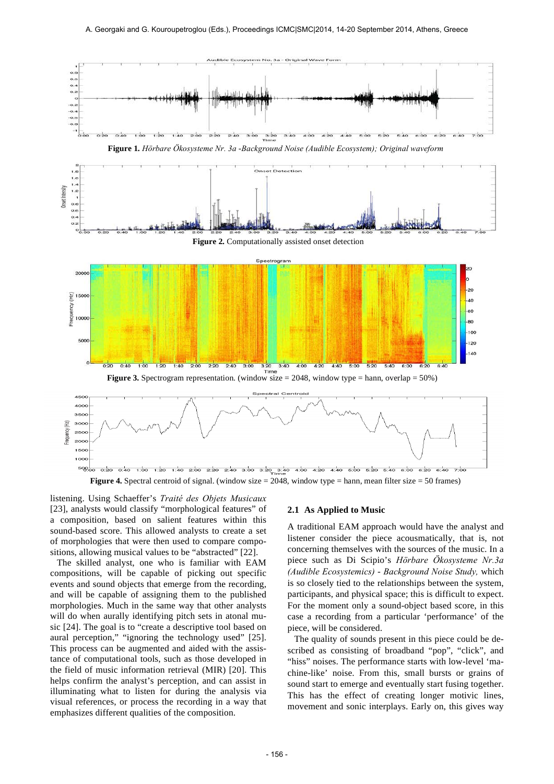

**Figure 4.** Spectral centroid of signal. (window size = 2048, window type = hann, mean filter size = 50 frames)

listening. Using Schaeffer's *Traité des Objets Musicaux* [23], analysts would classify "morphological features" of a composition, based on salient features within this sound-based score. This allowed analysts to create a set of morphologies that were then used to compare compositions, allowing musical values to be "abstracted" [22].

The skilled analyst, one who is familiar with EAM compositions, will be capable of picking out specific events and sound objects that emerge from the recording, and will be capable of assigning them to the published morphologies. Much in the same way that other analysts will do when aurally identifying pitch sets in atonal music [24]. The goal is to "create a descriptive tool based on aural perception," "ignoring the technology used" [25]. This process can be augmented and aided with the assistance of computational tools, such as those developed in the field of music information retrieval (MIR) [20]. This helps confirm the analyst's perception, and can assist in illuminating what to listen for during the analysis via visual references, or process the recording in a way that emphasizes different qualities of the composition.

### **2.1 As Applied to Music**

A traditional EAM approach would have the analyst and listener consider the piece acousmatically, that is, not concerning themselves with the sources of the music. In a piece such as Di Scipio's *Hörbare Ökosysteme Nr.3a (Audible Ecosystemics)* - *Background Noise Study,* which is so closely tied to the relationships between the system, participants, and physical space; this is difficult to expect. For the moment only a sound-object based score, in this case a recording from a particular 'performance' of the piece, will be considered.

The quality of sounds present in this piece could be described as consisting of broadband "pop", "click", and "hiss" noises. The performance starts with low-level 'machine-like' noise. From this, small bursts or grains of sound start to emerge and eventually start fusing together. This has the effect of creating longer motivic lines, movement and sonic interplays. Early on, this gives way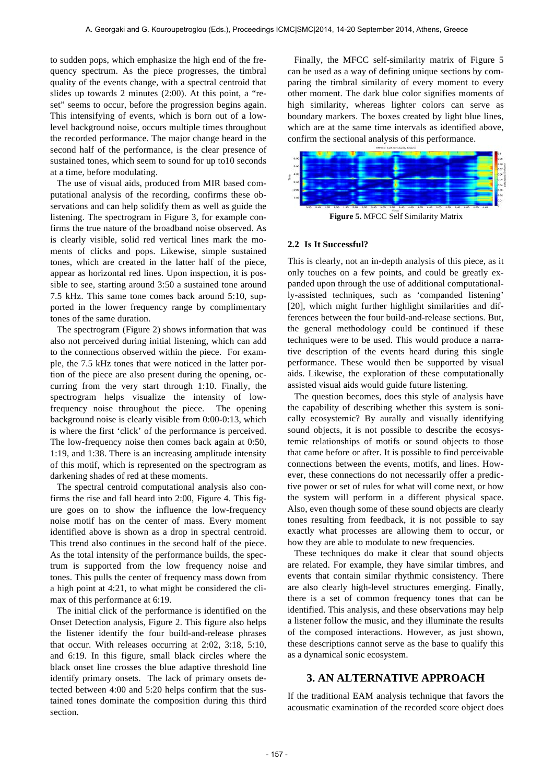to sudden pops, which emphasize the high end of the frequency spectrum. As the piece progresses, the timbral quality of the events change, with a spectral centroid that slides up towards 2 minutes (2:00). At this point, a "reset" seems to occur, before the progression begins again. This intensifying of events, which is born out of a lowlevel background noise, occurs multiple times throughout the recorded performance. The major change heard in the second half of the performance, is the clear presence of sustained tones, which seem to sound for up to10 seconds at a time, before modulating.

The use of visual aids, produced from MIR based computational analysis of the recording, confirms these observations and can help solidify them as well as guide the listening. The spectrogram in Figure 3, for example confirms the true nature of the broadband noise observed. As is clearly visible, solid red vertical lines mark the moments of clicks and pops. Likewise, simple sustained tones, which are created in the latter half of the piece, appear as horizontal red lines. Upon inspection, it is possible to see, starting around 3:50 a sustained tone around 7.5 kHz. This same tone comes back around 5:10, supported in the lower frequency range by complimentary tones of the same duration.

The spectrogram (Figure 2) shows information that was also not perceived during initial listening, which can add to the connections observed within the piece. For example, the 7.5 kHz tones that were noticed in the latter portion of the piece are also present during the opening, occurring from the very start through 1:10. Finally, the spectrogram helps visualize the intensity of lowfrequency noise throughout the piece. The opening background noise is clearly visible from 0:00-0:13, which is where the first 'click' of the performance is perceived. The low-frequency noise then comes back again at 0:50, 1:19, and 1:38. There is an increasing amplitude intensity of this motif, which is represented on the spectrogram as darkening shades of red at these moments.

The spectral centroid computational analysis also confirms the rise and fall heard into 2:00, Figure 4. This figure goes on to show the influence the low-frequency noise motif has on the center of mass. Every moment identified above is shown as a drop in spectral centroid. This trend also continues in the second half of the piece. As the total intensity of the performance builds, the spectrum is supported from the low frequency noise and tones. This pulls the center of frequency mass down from a high point at 4:21, to what might be considered the climax of this performance at 6:19.

The initial click of the performance is identified on the Onset Detection analysis, Figure 2. This figure also helps the listener identify the four build-and-release phrases that occur. With releases occurring at 2:02, 3:18, 5:10, and 6:19. In this figure, small black circles where the black onset line crosses the blue adaptive threshold line identify primary onsets. The lack of primary onsets detected between 4:00 and 5:20 helps confirm that the sustained tones dominate the composition during this third section.

Finally, the MFCC self-similarity matrix of Figure 5 can be used as a way of defining unique sections by comparing the timbral similarity of every moment to every other moment. The dark blue color signifies moments of high similarity, whereas lighter colors can serve as boundary markers. The boxes created by light blue lines, which are at the same time intervals as identified above, confirm the sectional analysis of this performance.



**Figure 5.** MFCC Self Similarity Matrix

### **2.2 Is It Successful?**

This is clearly, not an in-depth analysis of this piece, as it only touches on a few points, and could be greatly expanded upon through the use of additional computationally-assisted techniques, such as 'companded listening' [20], which might further highlight similarities and differences between the four build-and-release sections. But, the general methodology could be continued if these techniques were to be used. This would produce a narrative description of the events heard during this single performance. These would then be supported by visual aids. Likewise, the exploration of these computationally assisted visual aids would guide future listening.

The question becomes, does this style of analysis have the capability of describing whether this system is sonically ecosystemic? By aurally and visually identifying sound objects, it is not possible to describe the ecosystemic relationships of motifs or sound objects to those that came before or after. It is possible to find perceivable connections between the events, motifs, and lines. However, these connections do not necessarily offer a predictive power or set of rules for what will come next, or how the system will perform in a different physical space. Also, even though some of these sound objects are clearly tones resulting from feedback, it is not possible to say exactly what processes are allowing them to occur, or how they are able to modulate to new frequencies.

These techniques do make it clear that sound objects are related. For example, they have similar timbres, and events that contain similar rhythmic consistency. There are also clearly high-level structures emerging. Finally, there is a set of common frequency tones that can be identified. This analysis, and these observations may help a listener follow the music, and they illuminate the results of the composed interactions. However, as just shown, these descriptions cannot serve as the base to qualify this as a dynamical sonic ecosystem.

# **3. AN ALTERNATIVE APPROACH**

If the traditional EAM analysis technique that favors the acousmatic examination of the recorded score object does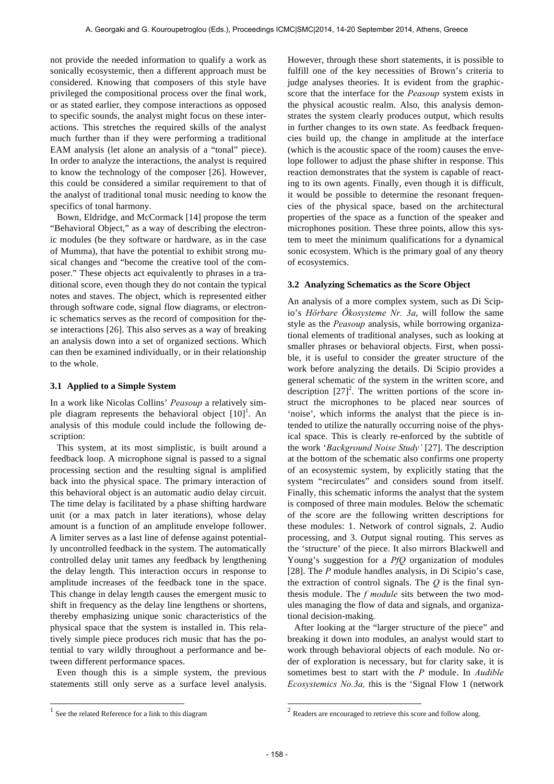not provide the needed information to qualify a work as sonically ecosystemic, then a different approach must be considered. Knowing that composers of this style have privileged the compositional process over the final work, or as stated earlier, they compose interactions as opposed to specific sounds, the analyst might focus on these interactions. This stretches the required skills of the analyst much further than if they were performing a traditional EAM analysis (let alone an analysis of a "tonal" piece). In order to analyze the interactions, the analyst is required to know the technology of the composer [26]. However, this could be considered a similar requirement to that of the analyst of traditional tonal music needing to know the specifics of tonal harmony.

Bown, Eldridge, and McCormack [14] propose the term "Behavioral Object," as a way of describing the electronic modules (be they software or hardware, as in the case of Mumma), that have the potential to exhibit strong musical changes and "become the creative tool of the composer." These objects act equivalently to phrases in a traditional score, even though they do not contain the typical notes and staves. The object, which is represented either through software code, signal flow diagrams, or electronic schematics serves as the record of composition for these interactions [26]. This also serves as a way of breaking an analysis down into a set of organized sections. Which can then be examined individually, or in their relationship to the whole.

### **3.1 Applied to a Simple System**

In a work like Nicolas Collins' *Peasoup* a relatively simple diagram represents the behavioral object  $[10]$ <sup>1</sup>. An analysis of this module could include the following description:

This system, at its most simplistic, is built around a feedback loop. A microphone signal is passed to a signal processing section and the resulting signal is amplified back into the physical space. The primary interaction of this behavioral object is an automatic audio delay circuit. The time delay is facilitated by a phase shifting hardware unit (or a max patch in later iterations), whose delay amount is a function of an amplitude envelope follower. A limiter serves as a last line of defense against potentially uncontrolled feedback in the system. The automatically controlled delay unit tames any feedback by lengthening the delay length. This interaction occurs in response to amplitude increases of the feedback tone in the space. This change in delay length causes the emergent music to shift in frequency as the delay line lengthens or shortens, thereby emphasizing unique sonic characteristics of the physical space that the system is installed in. This relatively simple piece produces rich music that has the potential to vary wildly throughout a performance and between different performance spaces.

Even though this is a simple system, the previous statements still only serve as a surface level analysis.

1

However, through these short statements, it is possible to fulfill one of the key necessities of Brown's criteria to judge analyses theories. It is evident from the graphicscore that the interface for the *Peasoup* system exists in the physical acoustic realm. Also, this analysis demonstrates the system clearly produces output, which results in further changes to its own state. As feedback frequencies build up, the change in amplitude at the interface (which is the acoustic space of the room) causes the envelope follower to adjust the phase shifter in response. This reaction demonstrates that the system is capable of reacting to its own agents. Finally, even though it is difficult, it would be possible to determine the resonant frequencies of the physical space, based on the architectural properties of the space as a function of the speaker and microphones position. These three points, allow this system to meet the minimum qualifications for a dynamical sonic ecosystem. Which is the primary goal of any theory of ecosystemics.

### **3.2 Analyzing Schematics as the Score Object**

An analysis of a more complex system, such as Di Scipio's *Hörbare Ökosysteme Nr. 3a*, will follow the same style as the *Peasoup* analysis, while borrowing organizational elements of traditional analyses, such as looking at smaller phrases or behavioral objects. First, when possible, it is useful to consider the greater structure of the work before analyzing the details. Di Scipio provides a general schematic of the system in the written score, and description  $[27]$ <sup>2</sup>. The written portions of the score instruct the microphones to be placed near sources of 'noise', which informs the analyst that the piece is intended to utilize the naturally occurring noise of the physical space. This is clearly re-enforced by the subtitle of the work '*Background Noise Study'* [27]. The description at the bottom of the schematic also confirms one property of an ecosystemic system, by explicitly stating that the system "recirculates" and considers sound from itself. Finally, this schematic informs the analyst that the system is composed of three main modules. Below the schematic of the score are the following written descriptions for these modules: 1. Network of control signals, 2. Audio processing, and 3. Output signal routing. This serves as the 'structure' of the piece. It also mirrors Blackwell and Young's suggestion for a *PfQ* organization of modules [28]. The *P* module handles analysis, in Di Scipio's case, the extraction of control signals. The *Q* is the final synthesis module. The *f module* sits between the two modules managing the flow of data and signals, and organizational decision-making.

After looking at the "larger structure of the piece" and breaking it down into modules, an analyst would start to work through behavioral objects of each module. No order of exploration is necessary, but for clarity sake, it is sometimes best to start with the *P* module. In *Audible Ecosystemics No.3a,* this is the 'Signal Flow 1 (network

1

<sup>&</sup>lt;sup>1</sup> See the related Reference for a link to this diagram

 $2 \text{ Readers are encouraged to retrieve this score and follow along.}$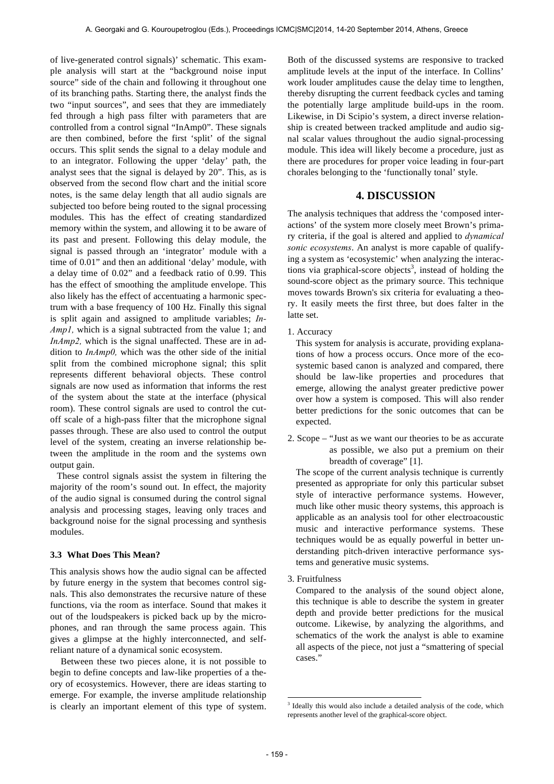of live-generated control signals)' schematic. This example analysis will start at the "background noise input source" side of the chain and following it throughout one of its branching paths. Starting there, the analyst finds the two "input sources", and sees that they are immediately fed through a high pass filter with parameters that are controlled from a control signal "InAmp0". These signals are then combined, before the first 'split' of the signal occurs. This split sends the signal to a delay module and to an integrator. Following the upper 'delay' path, the analyst sees that the signal is delayed by 20". This, as is observed from the second flow chart and the initial score notes, is the same delay length that all audio signals are subjected too before being routed to the signal processing modules. This has the effect of creating standardized memory within the system, and allowing it to be aware of its past and present. Following this delay module, the signal is passed through an 'integrator' module with a time of 0.01" and then an additional 'delay' module, with a delay time of 0.02" and a feedback ratio of 0.99. This has the effect of smoothing the amplitude envelope. This also likely has the effect of accentuating a harmonic spectrum with a base frequency of 100 Hz. Finally this signal is split again and assigned to amplitude variables; *In-Amp1,* which is a signal subtracted from the value 1; and *InAmp2,* which is the signal unaffected. These are in addition to *InAmp0,* which was the other side of the initial split from the combined microphone signal; this split represents different behavioral objects. These control signals are now used as information that informs the rest of the system about the state at the interface (physical room). These control signals are used to control the cutoff scale of a high-pass filter that the microphone signal passes through. These are also used to control the output level of the system, creating an inverse relationship between the amplitude in the room and the systems own output gain.

These control signals assist the system in filtering the majority of the room's sound out. In effect, the majority of the audio signal is consumed during the control signal analysis and processing stages, leaving only traces and background noise for the signal processing and synthesis modules.

### **3.3 What Does This Mean?**

This analysis shows how the audio signal can be affected by future energy in the system that becomes control signals. This also demonstrates the recursive nature of these functions, via the room as interface. Sound that makes it out of the loudspeakers is picked back up by the microphones, and ran through the same process again. This gives a glimpse at the highly interconnected, and selfreliant nature of a dynamical sonic ecosystem.

Between these two pieces alone, it is not possible to begin to define concepts and law-like properties of a theory of ecosystemics. However, there are ideas starting to emerge. For example, the inverse amplitude relationship is clearly an important element of this type of system.

Both of the discussed systems are responsive to tracked amplitude levels at the input of the interface. In Collins' work louder amplitudes cause the delay time to lengthen, thereby disrupting the current feedback cycles and taming the potentially large amplitude build-ups in the room. Likewise, in Di Scipio's system, a direct inverse relationship is created between tracked amplitude and audio signal scalar values throughout the audio signal-processing module. This idea will likely become a procedure, just as there are procedures for proper voice leading in four-part chorales belonging to the 'functionally tonal' style.

# **4. DISCUSSION**

The analysis techniques that address the 'composed interactions' of the system more closely meet Brown's primary criteria, if the goal is altered and applied to *dynamical sonic ecosystems*. An analyst is more capable of qualifying a system as 'ecosystemic' when analyzing the interactions via graphical-score objects<sup>3</sup>, instead of holding the sound-score object as the primary source. This technique moves towards Brown's six criteria for evaluating a theory. It easily meets the first three, but does falter in the latte set.

1. Accuracy

This system for analysis is accurate, providing explanations of how a process occurs. Once more of the ecosystemic based canon is analyzed and compared, there should be law-like properties and procedures that emerge, allowing the analyst greater predictive power over how a system is composed. This will also render better predictions for the sonic outcomes that can be expected.

2. Scope – "Just as we want our theories to be as accurate as possible, we also put a premium on their breadth of coverage" [1].

The scope of the current analysis technique is currently presented as appropriate for only this particular subset style of interactive performance systems. However, much like other music theory systems, this approach is applicable as an analysis tool for other electroacoustic music and interactive performance systems. These techniques would be as equally powerful in better understanding pitch-driven interactive performance systems and generative music systems.

3. Fruitfulness

Compared to the analysis of the sound object alone, this technique is able to describe the system in greater depth and provide better predictions for the musical outcome. Likewise, by analyzing the algorithms, and schematics of the work the analyst is able to examine all aspects of the piece, not just a "smattering of special cases."

1

<sup>&</sup>lt;sup>3</sup> Ideally this would also include a detailed analysis of the code, which represents another level of the graphical-score object.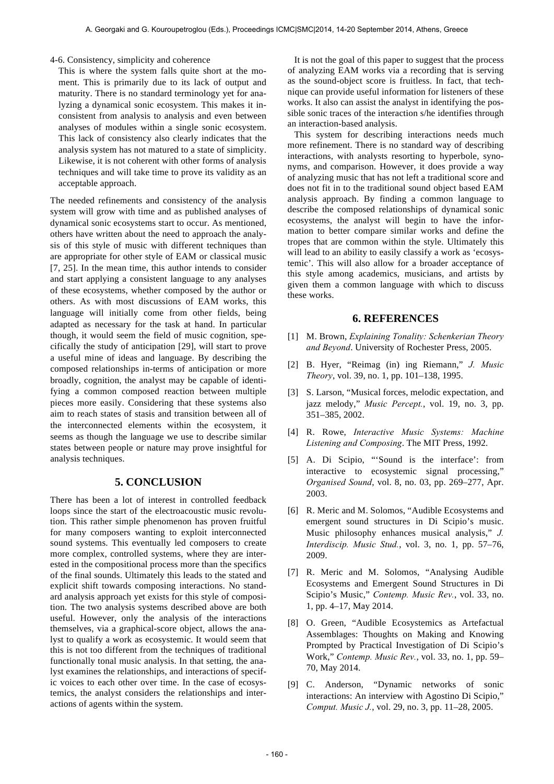#### 4-6. Consistency, simplicity and coherence

This is where the system falls quite short at the moment. This is primarily due to its lack of output and maturity. There is no standard terminology yet for analyzing a dynamical sonic ecosystem. This makes it inconsistent from analysis to analysis and even between analyses of modules within a single sonic ecosystem. This lack of consistency also clearly indicates that the analysis system has not matured to a state of simplicity. Likewise, it is not coherent with other forms of analysis techniques and will take time to prove its validity as an acceptable approach.

The needed refinements and consistency of the analysis system will grow with time and as published analyses of dynamical sonic ecosystems start to occur. As mentioned, others have written about the need to approach the analysis of this style of music with different techniques than are appropriate for other style of EAM or classical music [7, 25]. In the mean time, this author intends to consider and start applying a consistent language to any analyses of these ecosystems, whether composed by the author or others. As with most discussions of EAM works, this language will initially come from other fields, being adapted as necessary for the task at hand. In particular though, it would seem the field of music cognition, specifically the study of anticipation [29], will start to prove a useful mine of ideas and language. By describing the composed relationships in-terms of anticipation or more broadly, cognition, the analyst may be capable of identifying a common composed reaction between multiple pieces more easily. Considering that these systems also aim to reach states of stasis and transition between all of the interconnected elements within the ecosystem, it seems as though the language we use to describe similar states between people or nature may prove insightful for analysis techniques.

### **5. CONCLUSION**

There has been a lot of interest in controlled feedback loops since the start of the electroacoustic music revolution. This rather simple phenomenon has proven fruitful for many composers wanting to exploit interconnected sound systems. This eventually led composers to create more complex, controlled systems, where they are interested in the compositional process more than the specifics of the final sounds. Ultimately this leads to the stated and explicit shift towards composing interactions. No standard analysis approach yet exists for this style of composition. The two analysis systems described above are both useful. However, only the analysis of the interactions themselves, via a graphical-score object, allows the analyst to qualify a work as ecosystemic. It would seem that this is not too different from the techniques of traditional functionally tonal music analysis. In that setting, the analyst examines the relationships, and interactions of specific voices to each other over time. In the case of ecosystemics, the analyst considers the relationships and interactions of agents within the system.

It is not the goal of this paper to suggest that the process of analyzing EAM works via a recording that is serving as the sound-object score is fruitless. In fact, that technique can provide useful information for listeners of these works. It also can assist the analyst in identifying the possible sonic traces of the interaction s/he identifies through an interaction-based analysis.

This system for describing interactions needs much more refinement. There is no standard way of describing interactions, with analysts resorting to hyperbole, synonyms, and comparison. However, it does provide a way of analyzing music that has not left a traditional score and does not fit in to the traditional sound object based EAM analysis approach. By finding a common language to describe the composed relationships of dynamical sonic ecosystems, the analyst will begin to have the information to better compare similar works and define the tropes that are common within the style. Ultimately this will lead to an ability to easily classify a work as 'ecosystemic'. This will also allow for a broader acceptance of this style among academics, musicians, and artists by given them a common language with which to discuss these works.

### **6. REFERENCES**

- [1] M. Brown, *Explaining Tonality: Schenkerian Theory and Beyond*. University of Rochester Press, 2005.
- [2] B. Hyer, "Reimag (in) ing Riemann," *J. Music Theory*, vol. 39, no. 1, pp. 101–138, 1995.
- [3] S. Larson, "Musical forces, melodic expectation, and jazz melody," *Music Percept.*, vol. 19, no. 3, pp. 351–385, 2002.
- [4] R. Rowe, *Interactive Music Systems: Machine Listening and Composing*. The MIT Press, 1992.
- [5] A. Di Scipio, "'Sound is the interface': from interactive to ecosystemic signal processing," *Organised Sound*, vol. 8, no. 03, pp. 269–277, Apr. 2003.
- [6] R. Meric and M. Solomos, "Audible Ecosystems and emergent sound structures in Di Scipio's music. Music philosophy enhances musical analysis," *J. Interdiscip. Music Stud.*, vol. 3, no. 1, pp. 57–76, 2009.
- [7] R. Meric and M. Solomos, "Analysing Audible Ecosystems and Emergent Sound Structures in Di Scipio's Music," *Contemp. Music Rev.*, vol. 33, no. 1, pp. 4–17, May 2014.
- [8] O. Green, "Audible Ecosystemics as Artefactual Assemblages: Thoughts on Making and Knowing Prompted by Practical Investigation of Di Scipio's Work," *Contemp. Music Rev.*, vol. 33, no. 1, pp. 59– 70, May 2014.
- [9] C. Anderson, "Dynamic networks of sonic interactions: An interview with Agostino Di Scipio," *Comput. Music J.*, vol. 29, no. 3, pp. 11–28, 2005.